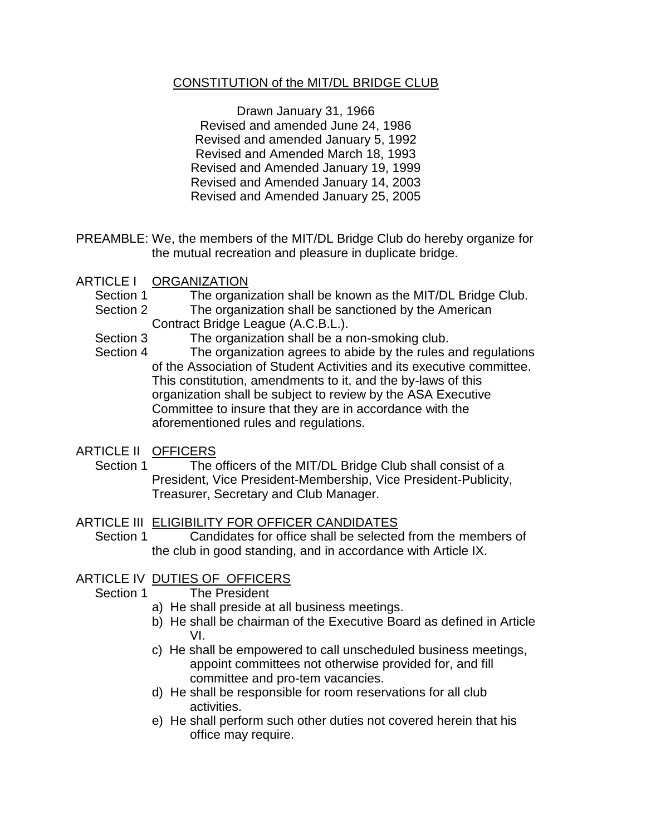### CONSTITUTION of the MIT/DL BRIDGE CLUB

Drawn January 31, 1966 Revised and amended June 24, 1986 Revised and amended January 5, 1992 Revised and Amended March 18, 1993 Revised and Amended January 19, 1999 Revised and Amended January 14, 2003 Revised and Amended January 25, 2005

- PREAMBLE: We, the members of the MIT/DL Bridge Club do hereby organize for the mutual recreation and pleasure in duplicate bridge.
- ARTICLE I ORGANIZATION
	- Section 1 The organization shall be known as the MIT/DL Bridge Club.
	- Section 2 The organization shall be sanctioned by the American Contract Bridge League (A.C.B.L.).
	- Section 3 The organization shall be a non-smoking club.
	- Section 4 The organization agrees to abide by the rules and regulations of the Association of Student Activities and its executive committee. This constitution, amendments to it, and the by-laws of this organization shall be subject to review by the ASA Executive Committee to insure that they are in accordance with the aforementioned rules and regulations.
- ARTICLE II OFFICERS
	- Section 1 The officers of the MIT/DL Bridge Club shall consist of a President, Vice President-Membership, Vice President-Publicity, Treasurer, Secretary and Club Manager.
- ARTICLE III ELIGIBILITY FOR OFFICER CANDIDATES
	- Section 1 Candidates for office shall be selected from the members of the club in good standing, and in accordance with Article IX.

### ARTICLE IV DUTIES OF OFFICERS

- Section 1 The President
	- a) He shall preside at all business meetings.
	- b) He shall be chairman of the Executive Board as defined in Article VI.
	- c) He shall be empowered to call unscheduled business meetings, appoint committees not otherwise provided for, and fill committee and pro-tem vacancies.
	- d) He shall be responsible for room reservations for all club activities.
	- e) He shall perform such other duties not covered herein that his office may require.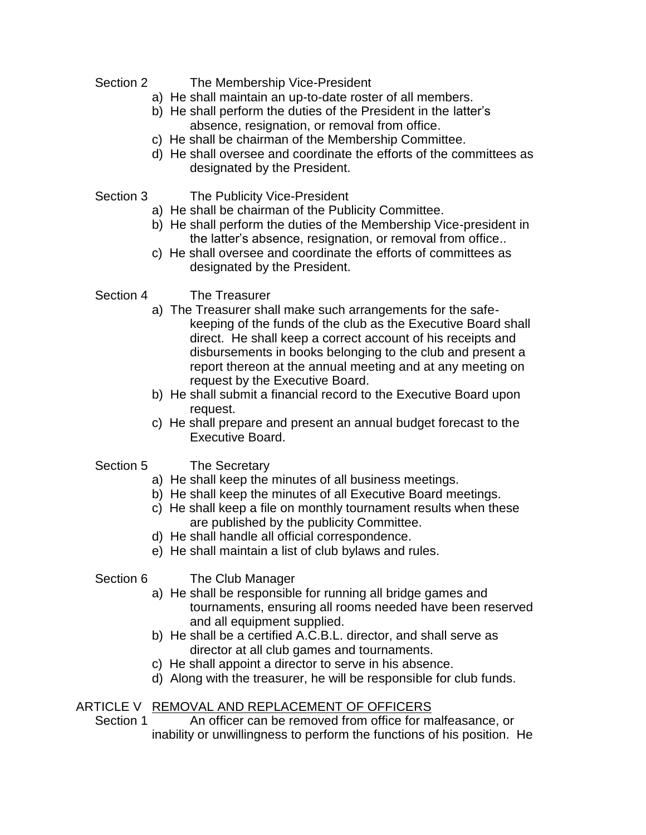Section 2 The Membership Vice-President

- a) He shall maintain an up-to-date roster of all members.
- b) He shall perform the duties of the President in the latter's absence, resignation, or removal from office.
- c) He shall be chairman of the Membership Committee.
- d) He shall oversee and coordinate the efforts of the committees as designated by the President.
- Section 3 The Publicity Vice-President
	- a) He shall be chairman of the Publicity Committee.
	- b) He shall perform the duties of the Membership Vice-president in the latter's absence, resignation, or removal from office..
	- c) He shall oversee and coordinate the efforts of committees as designated by the President.
- Section 4 The Treasurer
	- a) The Treasurer shall make such arrangements for the safekeeping of the funds of the club as the Executive Board shall direct. He shall keep a correct account of his receipts and disbursements in books belonging to the club and present a report thereon at the annual meeting and at any meeting on request by the Executive Board.
	- b) He shall submit a financial record to the Executive Board upon request.
	- c) He shall prepare and present an annual budget forecast to the Executive Board.
- Section 5 The Secretary
	- a) He shall keep the minutes of all business meetings.
	- b) He shall keep the minutes of all Executive Board meetings.
	- c) He shall keep a file on monthly tournament results when these are published by the publicity Committee.
	- d) He shall handle all official correspondence.
	- e) He shall maintain a list of club bylaws and rules.
- Section 6 The Club Manager
	- a) He shall be responsible for running all bridge games and tournaments, ensuring all rooms needed have been reserved and all equipment supplied.
	- b) He shall be a certified A.C.B.L. director, and shall serve as director at all club games and tournaments.
	- c) He shall appoint a director to serve in his absence.
	- d) Along with the treasurer, he will be responsible for club funds.

### ARTICLE V REMOVAL AND REPLACEMENT OF OFFICERS

Section 1 An officer can be removed from office for malfeasance, or inability or unwillingness to perform the functions of his position. He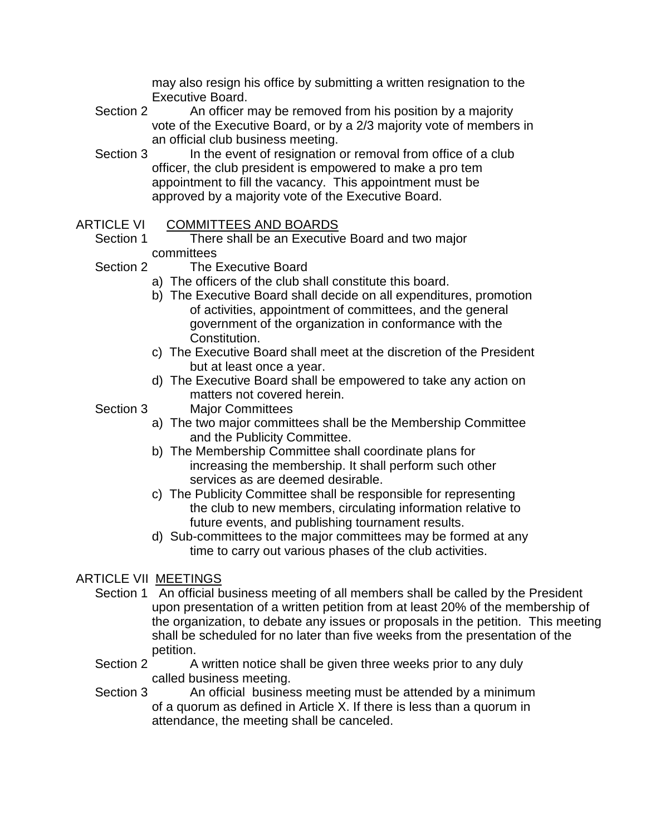may also resign his office by submitting a written resignation to the Executive Board.

- Section 2 An officer may be removed from his position by a majority vote of the Executive Board, or by a 2/3 majority vote of members in an official club business meeting.
- Section 3 In the event of resignation or removal from office of a club officer, the club president is empowered to make a pro tem appointment to fill the vacancy. This appointment must be approved by a majority vote of the Executive Board.
- ARTICLE VI COMMITTEES AND BOARDS
	- Section 1 There shall be an Executive Board and two major committees
	- Section 2 The Executive Board
		- a) The officers of the club shall constitute this board.
		- b) The Executive Board shall decide on all expenditures, promotion of activities, appointment of committees, and the general government of the organization in conformance with the Constitution.
		- c) The Executive Board shall meet at the discretion of the President but at least once a year.
		- d) The Executive Board shall be empowered to take any action on matters not covered herein.
	- Section 3 Major Committees
		- a) The two major committees shall be the Membership Committee and the Publicity Committee.
		- b) The Membership Committee shall coordinate plans for increasing the membership. It shall perform such other services as are deemed desirable.
		- c) The Publicity Committee shall be responsible for representing the club to new members, circulating information relative to future events, and publishing tournament results.
		- d) Sub-committees to the major committees may be formed at any time to carry out various phases of the club activities.

# ARTICLE VII MEETINGS

- Section 1 An official business meeting of all members shall be called by the President upon presentation of a written petition from at least 20% of the membership of the organization, to debate any issues or proposals in the petition. This meeting shall be scheduled for no later than five weeks from the presentation of the petition.
- Section 2 A written notice shall be given three weeks prior to any duly called business meeting.
- Section 3 An official business meeting must be attended by a minimum of a quorum as defined in Article X. If there is less than a quorum in attendance, the meeting shall be canceled.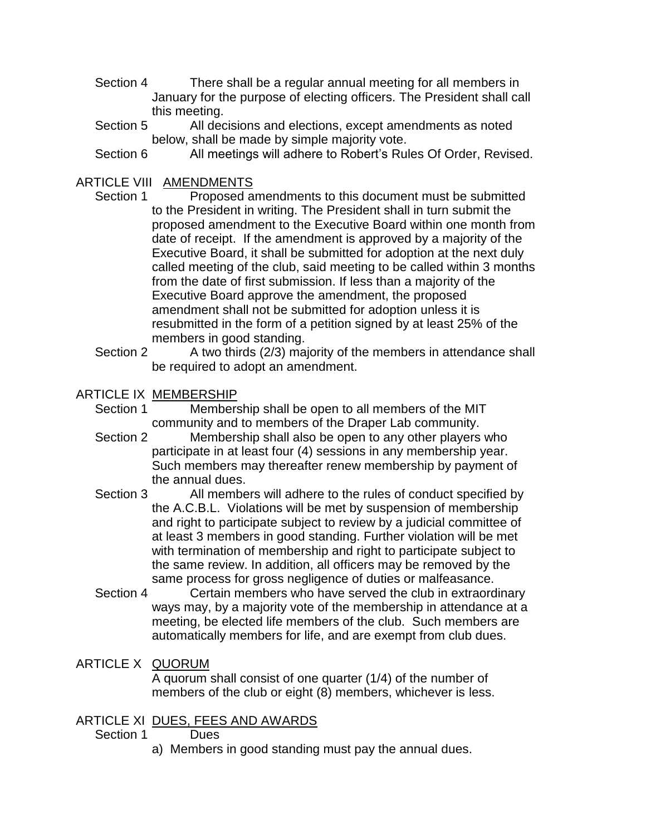- Section 4 There shall be a regular annual meeting for all members in January for the purpose of electing officers. The President shall call this meeting.
- Section 5 All decisions and elections, except amendments as noted below, shall be made by simple majority vote.
- Section 6 All meetings will adhere to Robert's Rules Of Order, Revised.

# ARTICLE VIII AMENDMENTS

- Section 1 Proposed amendments to this document must be submitted to the President in writing. The President shall in turn submit the proposed amendment to the Executive Board within one month from date of receipt. If the amendment is approved by a majority of the Executive Board, it shall be submitted for adoption at the next duly called meeting of the club, said meeting to be called within 3 months from the date of first submission. If less than a majority of the Executive Board approve the amendment, the proposed amendment shall not be submitted for adoption unless it is resubmitted in the form of a petition signed by at least 25% of the members in good standing.
- Section 2 A two thirds (2/3) majority of the members in attendance shall be required to adopt an amendment.

### ARTICLE IX MEMBERSHIP

- Section 1 Membership shall be open to all members of the MIT community and to members of the Draper Lab community.
- Section 2 Membership shall also be open to any other players who participate in at least four (4) sessions in any membership year. Such members may thereafter renew membership by payment of the annual dues.
- Section 3 All members will adhere to the rules of conduct specified by the A.C.B.L. Violations will be met by suspension of membership and right to participate subject to review by a judicial committee of at least 3 members in good standing. Further violation will be met with termination of membership and right to participate subject to the same review. In addition, all officers may be removed by the same process for gross negligence of duties or malfeasance.
- Section 4 Certain members who have served the club in extraordinary ways may, by a majority vote of the membership in attendance at a meeting, be elected life members of the club. Such members are automatically members for life, and are exempt from club dues.

### ARTICLE X QUORUM

A quorum shall consist of one quarter (1/4) of the number of members of the club or eight (8) members, whichever is less.

### ARTICLE XI DUES, FEES AND AWARDS

#### Section 1 Dues

a) Members in good standing must pay the annual dues.